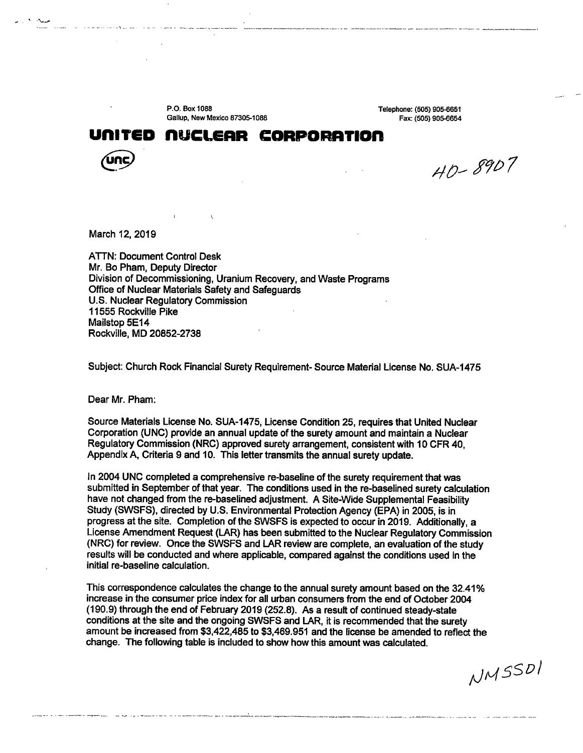P.O. Box 1088 Gallup, New Mexico 87305-1088

 $\mathbf{t}$ 

Telephone: (505) 905-6651 Fax: (505) 905-6654

## **unlTED nUCLEAR CDRPDRATIDn**



·'-~

 $40 - 8907$ 

March 12, 2019

**ATTN: Document Control Desk** Mr. Bo Pham, Deputy Director Division of Decommissioning, Uranium Recovery, and Waste Programs Office of Nuclear Materials Safety and Safeguards U.S. Nuclear Regulatory Commission 11555 Rockville Pike Mailstop 5E14 Rockville, MD 20852-2738

Subject: Church Rock Financial Surety Requirement- Source Material License No. SUA-1475

Dear Mr. Pham:

.<br>The contract of the company of the contract of the company of the second policy of the contract of the company

Source Materials License No. SUA-1475, License Condition 25, requires that United Nuclear Corporation (UNC) provide an annual update of the surety amount and maintain a Nuclear Regulatory Commission (NRC) approved surety arrangement, consistent with 10 CFR 40, Appendix A, Criteria 9 and 10. This letter transmits the annual surety update.

In 2004 UNC completed a comprehensive re-baseline of the surety requirement that was submitted in September of that year. The conditions used in the re-baselined surety calculation have not changed from the re-baselined adjustment. A Site-Wide Supplemental Feasibility Study (SWSFS}, directed by U.S. Environmental Protection Agency (EPA) in 2005, is in progress at the site. Completion of the SWSFS is expected to occur in 2019. Additionally, a License Amendment Request (LAR} has been submitted to the Nuclear Regulatory Commission (NRC) for review. Once the SWSFS and LAR review are complete, an evaluation of the study results will be conducted and where applicable, compared against the conditions used in the initial re-baseline calculation.

This correspondence calculates the change to the annual surety amount based on the 32.41 % increase in the consumer price index for all urban consumers from the end of October 2004 (190.9) through the end of February 2019 (252.8). As a result of continued steady-state conditions at the site and the ongoing SWSFS and LAR, it is recommended that the surety amount be increased from \$3,422,485 to \$3,469.951 and the license be amended to reflect the change. The following table is included to show how this amount was calculated.

NMSSDI